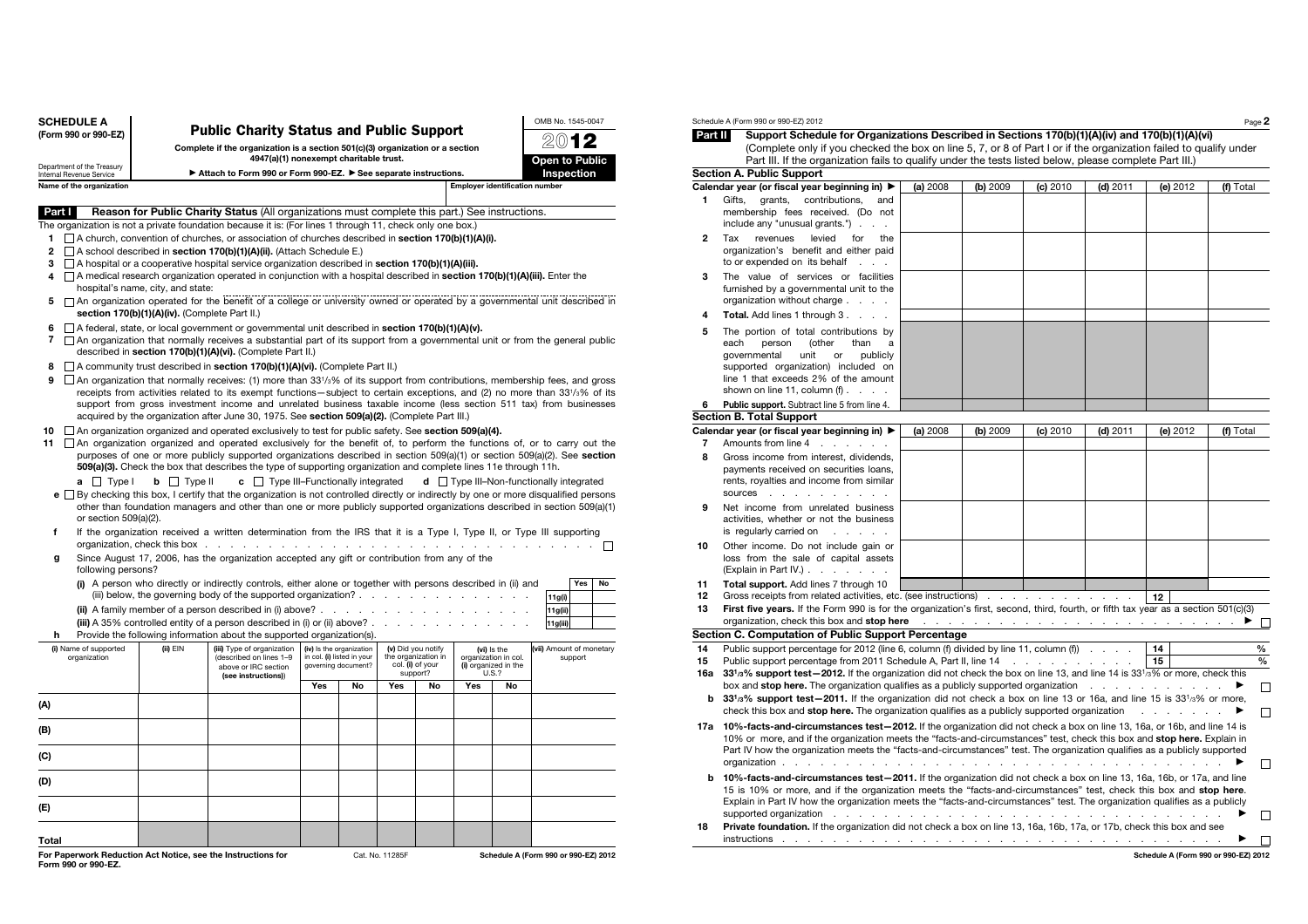| <b>SCHEDULE A</b><br><b>Public Charity Status and Public Support</b>                                                                                                               |                                                                                                                                                                                                                                                                                                                                                          |                                                                                                                                                                                                                                                                     |     |    |                 |    |                                       |           | OMB No. 1545-0047                               |  |  |  |
|------------------------------------------------------------------------------------------------------------------------------------------------------------------------------------|----------------------------------------------------------------------------------------------------------------------------------------------------------------------------------------------------------------------------------------------------------------------------------------------------------------------------------------------------------|---------------------------------------------------------------------------------------------------------------------------------------------------------------------------------------------------------------------------------------------------------------------|-----|----|-----------------|----|---------------------------------------|-----------|-------------------------------------------------|--|--|--|
| (Form 990 or 990-EZ)                                                                                                                                                               |                                                                                                                                                                                                                                                                                                                                                          |                                                                                                                                                                                                                                                                     |     |    |                 |    |                                       |           | 201                                             |  |  |  |
|                                                                                                                                                                                    |                                                                                                                                                                                                                                                                                                                                                          | Complete if the organization is a section 501(c)(3) organization or a section<br>4947(a)(1) nonexempt charitable trust.                                                                                                                                             |     |    |                 |    |                                       |           | Open to Public                                  |  |  |  |
| Department of the Treasury<br>Internal Revenue Service                                                                                                                             |                                                                                                                                                                                                                                                                                                                                                          | ▶ Attach to Form 990 or Form 990-EZ. ▶ See separate instructions.                                                                                                                                                                                                   |     |    |                 |    |                                       |           | Inspection                                      |  |  |  |
| Name of the organization                                                                                                                                                           |                                                                                                                                                                                                                                                                                                                                                          |                                                                                                                                                                                                                                                                     |     |    |                 |    | <b>Employer identification number</b> |           |                                                 |  |  |  |
| Part I                                                                                                                                                                             |                                                                                                                                                                                                                                                                                                                                                          | <b>Reason for Public Charity Status (All organizations must complete this part.) See instructions.</b>                                                                                                                                                              |     |    |                 |    |                                       |           |                                                 |  |  |  |
| The organization is not a private foundation because it is: (For lines 1 through 11, check only one box.)                                                                          |                                                                                                                                                                                                                                                                                                                                                          |                                                                                                                                                                                                                                                                     |     |    |                 |    |                                       |           |                                                 |  |  |  |
| 1                                                                                                                                                                                  |                                                                                                                                                                                                                                                                                                                                                          | $\Box$ A church, convention of churches, or association of churches described in section 170(b)(1)(A)(i).                                                                                                                                                           |     |    |                 |    |                                       |           |                                                 |  |  |  |
| $\mathbf{2}$                                                                                                                                                                       |                                                                                                                                                                                                                                                                                                                                                          | A school described in section 170(b)(1)(A)(ii). (Attach Schedule E.)                                                                                                                                                                                                |     |    |                 |    |                                       |           |                                                 |  |  |  |
| 3 $\Box$ A hospital or a cooperative hospital service organization described in section 170(b)(1)(A)(iii).                                                                         |                                                                                                                                                                                                                                                                                                                                                          |                                                                                                                                                                                                                                                                     |     |    |                 |    |                                       |           |                                                 |  |  |  |
| $\Box$ A medical research organization operated in conjunction with a hospital described in <b>section 170(b)(1)(A)(iii)</b> . Enter the<br>4<br>hospital's name, city, and state: |                                                                                                                                                                                                                                                                                                                                                          |                                                                                                                                                                                                                                                                     |     |    |                 |    |                                       |           |                                                 |  |  |  |
| 5                                                                                                                                                                                  | □ An organization operated for the benefit of a college or university owned or operated by a governmental unit described in<br>section 170(b)(1)(A)(iv). (Complete Part II.)                                                                                                                                                                             |                                                                                                                                                                                                                                                                     |     |    |                 |    |                                       |           |                                                 |  |  |  |
| 6                                                                                                                                                                                  |                                                                                                                                                                                                                                                                                                                                                          | A federal, state, or local government or governmental unit described in section 170(b)(1)(A)(v).                                                                                                                                                                    |     |    |                 |    |                                       |           |                                                 |  |  |  |
| 7                                                                                                                                                                                  |                                                                                                                                                                                                                                                                                                                                                          | □ An organization that normally receives a substantial part of its support from a governmental unit or from the general public<br>described in section 170(b)(1)(A)(vi). (Complete Part II.)                                                                        |     |    |                 |    |                                       |           |                                                 |  |  |  |
| 8                                                                                                                                                                                  |                                                                                                                                                                                                                                                                                                                                                          | A community trust described in section 170(b)(1)(A)(vi). (Complete Part II.)                                                                                                                                                                                        |     |    |                 |    |                                       |           |                                                 |  |  |  |
| 9                                                                                                                                                                                  |                                                                                                                                                                                                                                                                                                                                                          | $\Box$ An organization that normally receives: (1) more than 33 <sup>1</sup> / <sub>3</sub> % of its support from contributions, membership fees, and gross                                                                                                         |     |    |                 |    |                                       |           |                                                 |  |  |  |
|                                                                                                                                                                                    |                                                                                                                                                                                                                                                                                                                                                          | receipts from activities related to its exempt functions—subject to certain exceptions, and (2) no more than 331/3% of its<br>support from gross investment income and unrelated business taxable income (less section 511 tax) from businesses                     |     |    |                 |    |                                       |           |                                                 |  |  |  |
|                                                                                                                                                                                    |                                                                                                                                                                                                                                                                                                                                                          | acquired by the organization after June 30, 1975. See section 509(a)(2). (Complete Part III.)<br>$\Box$ An organization organized and operated exclusively to test for public safety. See section 509(a)(4).                                                        |     |    |                 |    |                                       |           |                                                 |  |  |  |
| 10<br>11                                                                                                                                                                           |                                                                                                                                                                                                                                                                                                                                                          | $\Box$ An organization organized and operated exclusively for the benefit of, to perform the functions of, or to carry out the                                                                                                                                      |     |    |                 |    |                                       |           |                                                 |  |  |  |
|                                                                                                                                                                                    |                                                                                                                                                                                                                                                                                                                                                          | purposes of one or more publicly supported organizations described in section 509(a)(1) or section 509(a)(2). See section<br>509(a)(3). Check the box that describes the type of supporting organization and complete lines 11e through 11h.                        |     |    |                 |    |                                       |           |                                                 |  |  |  |
| $a \Box$ Type I                                                                                                                                                                    | $\mathbf{b}$ $\Box$ Type II                                                                                                                                                                                                                                                                                                                              | $\mathbf{c}$ $\Box$ Type III-Functionally integrated                                                                                                                                                                                                                |     |    |                 |    |                                       |           | $d$ $\Box$ Type III-Non-functionally integrated |  |  |  |
|                                                                                                                                                                                    |                                                                                                                                                                                                                                                                                                                                                          | e □ By checking this box, I certify that the organization is not controlled directly or indirectly by one or more disqualified persons<br>other than foundation managers and other than one or more publicly supported organizations described in section 509(a)(1) |     |    |                 |    |                                       |           |                                                 |  |  |  |
| or section 509(a)(2).                                                                                                                                                              |                                                                                                                                                                                                                                                                                                                                                          |                                                                                                                                                                                                                                                                     |     |    |                 |    |                                       |           |                                                 |  |  |  |
| f                                                                                                                                                                                  |                                                                                                                                                                                                                                                                                                                                                          | If the organization received a written determination from the IRS that it is a Type I, Type II, or Type III supporting                                                                                                                                              |     |    |                 |    |                                       |           | П                                               |  |  |  |
| g<br>following persons?                                                                                                                                                            |                                                                                                                                                                                                                                                                                                                                                          | Since August 17, 2006, has the organization accepted any gift or contribution from any of the                                                                                                                                                                       |     |    |                 |    |                                       |           |                                                 |  |  |  |
|                                                                                                                                                                                    |                                                                                                                                                                                                                                                                                                                                                          | (i) A person who directly or indirectly controls, either alone or together with persons described in (ii) and<br>(iii) below, the governing body of the supported organization?                                                                                     |     |    |                 |    |                                       |           | Yes<br>No<br>11g(i)                             |  |  |  |
|                                                                                                                                                                                    |                                                                                                                                                                                                                                                                                                                                                          | (ii) A family member of a person described in (i) above? $\ldots$ $\ldots$ $\ldots$ $\ldots$                                                                                                                                                                        |     |    |                 |    |                                       |           | 11g(ii)                                         |  |  |  |
|                                                                                                                                                                                    |                                                                                                                                                                                                                                                                                                                                                          | (iii) A 35% controlled entity of a person described in (i) or (ii) above? $\ldots$ .                                                                                                                                                                                |     |    |                 |    |                                       |           | 11g(iii)                                        |  |  |  |
| h                                                                                                                                                                                  |                                                                                                                                                                                                                                                                                                                                                          | Provide the following information about the supported organization(s).                                                                                                                                                                                              |     |    |                 |    |                                       |           |                                                 |  |  |  |
| organization                                                                                                                                                                       | (ii) EIN<br>(iii) Type of organization<br>(iv) Is the organization<br>(v) Did you notify<br>(i) Name of supported<br>(vi) Is the<br>in col. (i) listed in your<br>the organization in<br>(described on lines 1-9<br>organization in col.<br>governing document?<br>col. (i) of your<br>(i) organized in the<br>above or IRC section<br>support?<br>U.S.2 |                                                                                                                                                                                                                                                                     |     |    |                 |    |                                       |           | (vii) Amount of monetary<br>support             |  |  |  |
|                                                                                                                                                                                    |                                                                                                                                                                                                                                                                                                                                                          | (see instructions))                                                                                                                                                                                                                                                 | Yes | No | Yes             | No | Yes                                   | <b>No</b> |                                                 |  |  |  |
| (A)                                                                                                                                                                                |                                                                                                                                                                                                                                                                                                                                                          |                                                                                                                                                                                                                                                                     |     |    |                 |    |                                       |           |                                                 |  |  |  |
| (B)                                                                                                                                                                                |                                                                                                                                                                                                                                                                                                                                                          |                                                                                                                                                                                                                                                                     |     |    |                 |    |                                       |           |                                                 |  |  |  |
|                                                                                                                                                                                    |                                                                                                                                                                                                                                                                                                                                                          |                                                                                                                                                                                                                                                                     |     |    |                 |    |                                       |           |                                                 |  |  |  |
| (C)                                                                                                                                                                                |                                                                                                                                                                                                                                                                                                                                                          |                                                                                                                                                                                                                                                                     |     |    |                 |    |                                       |           |                                                 |  |  |  |
| (D)                                                                                                                                                                                |                                                                                                                                                                                                                                                                                                                                                          |                                                                                                                                                                                                                                                                     |     |    |                 |    |                                       |           |                                                 |  |  |  |
| (E)                                                                                                                                                                                |                                                                                                                                                                                                                                                                                                                                                          |                                                                                                                                                                                                                                                                     |     |    |                 |    |                                       |           |                                                 |  |  |  |
| Total                                                                                                                                                                              |                                                                                                                                                                                                                                                                                                                                                          |                                                                                                                                                                                                                                                                     |     |    |                 |    |                                       |           |                                                 |  |  |  |
| For Paperwork Reduction Act Notice, see the Instructions for<br>Form 990 or 990-EZ.                                                                                                |                                                                                                                                                                                                                                                                                                                                                          |                                                                                                                                                                                                                                                                     |     |    | Cat. No. 11285F |    |                                       |           | Schedule A (Form 990 or 990-EZ) 2012            |  |  |  |

| Part II | Schedule A (Form 990 or 990-EZ) 2012<br>Support Schedule for Organizations Described in Sections 170(b)(1)(A)(iv) and 170(b)(1)(A)(vi)                                                                                                                                                                                                                                                                                                                                             |          |          |          |            |          | Page 2    |
|---------|------------------------------------------------------------------------------------------------------------------------------------------------------------------------------------------------------------------------------------------------------------------------------------------------------------------------------------------------------------------------------------------------------------------------------------------------------------------------------------|----------|----------|----------|------------|----------|-----------|
|         | (Complete only if you checked the box on line 5, 7, or 8 of Part I or if the organization failed to qualify under                                                                                                                                                                                                                                                                                                                                                                  |          |          |          |            |          |           |
|         | Part III. If the organization fails to qualify under the tests listed below, please complete Part III.)                                                                                                                                                                                                                                                                                                                                                                            |          |          |          |            |          |           |
|         | <b>Section A. Public Support</b>                                                                                                                                                                                                                                                                                                                                                                                                                                                   |          |          |          |            |          |           |
|         | Calendar year (or fiscal year beginning in) ▶                                                                                                                                                                                                                                                                                                                                                                                                                                      | (a) 2008 | (b) 2009 | (c) 2010 | (d) 2011   | (e) 2012 | (f) Total |
|         |                                                                                                                                                                                                                                                                                                                                                                                                                                                                                    |          |          |          |            |          |           |
| 1       | Gifts.<br>grants,<br>contributions,<br>and<br>membership fees received. (Do not                                                                                                                                                                                                                                                                                                                                                                                                    |          |          |          |            |          |           |
|         | include any "unusual grants.")                                                                                                                                                                                                                                                                                                                                                                                                                                                     |          |          |          |            |          |           |
| 2       | revenues<br>levied<br>Tax<br>for<br>the<br>organization's benefit and either paid<br>to or expended on its behalf                                                                                                                                                                                                                                                                                                                                                                  |          |          |          |            |          |           |
| 3       | The value of services or facilities<br>furnished by a governmental unit to the<br>organization without charge                                                                                                                                                                                                                                                                                                                                                                      |          |          |          |            |          |           |
| 4       | <b>Total.</b> Add lines 1 through 3.                                                                                                                                                                                                                                                                                                                                                                                                                                               |          |          |          |            |          |           |
| 5       | The portion of total contributions by<br>each<br>(other<br>person<br>than<br>a<br>qovernmental<br>unit<br>or<br>publicly<br>supported organization) included on<br>line 1 that exceeds 2% of the amount<br>shown on line 11, column $(f)$ .                                                                                                                                                                                                                                        |          |          |          |            |          |           |
|         |                                                                                                                                                                                                                                                                                                                                                                                                                                                                                    |          |          |          |            |          |           |
| 6       | Public support. Subtract line 5 from line 4.                                                                                                                                                                                                                                                                                                                                                                                                                                       |          |          |          |            |          |           |
|         | <b>Section B. Total Support</b>                                                                                                                                                                                                                                                                                                                                                                                                                                                    |          |          |          |            |          |           |
|         | Calendar year (or fiscal year beginning in) ▶                                                                                                                                                                                                                                                                                                                                                                                                                                      | (a) 2008 | (b) 2009 | (c) 2010 | $(d)$ 2011 | (e) 2012 | (f) Total |
| 7       | Amounts from line 4                                                                                                                                                                                                                                                                                                                                                                                                                                                                |          |          |          |            |          |           |
| 8       | Gross income from interest, dividends,<br>payments received on securities loans,<br>rents, royalties and income from similar<br>sources                                                                                                                                                                                                                                                                                                                                            |          |          |          |            |          |           |
| 9       | Net income from unrelated business<br>activities, whether or not the business<br>is regularly carried on                                                                                                                                                                                                                                                                                                                                                                           |          |          |          |            |          |           |
| 10      | Other income. Do not include gain or<br>loss from the sale of capital assets<br>(Explain in Part IV.)                                                                                                                                                                                                                                                                                                                                                                              |          |          |          |            |          |           |
| 11      | Total support. Add lines 7 through 10                                                                                                                                                                                                                                                                                                                                                                                                                                              |          |          |          |            |          |           |
| 12      | Gross receipts from related activities, etc. (see instructions) 12                                                                                                                                                                                                                                                                                                                                                                                                                 |          |          |          |            |          |           |
| 13      | First five years. If the Form 990 is for the organization's first, second, third, fourth, or fifth tax year as a section 501(c)(3)                                                                                                                                                                                                                                                                                                                                                 |          |          |          |            |          |           |
|         |                                                                                                                                                                                                                                                                                                                                                                                                                                                                                    |          |          |          |            |          |           |
|         | Section C. Computation of Public Support Percentage                                                                                                                                                                                                                                                                                                                                                                                                                                |          |          |          |            |          |           |
| 14      | Public support percentage for 2012 (line 6, column (f) divided by line 11, column (f)                                                                                                                                                                                                                                                                                                                                                                                              |          |          |          |            | 14       |           |
| 15      | Public support percentage from 2011 Schedule A, Part II, line 14                                                                                                                                                                                                                                                                                                                                                                                                                   |          |          |          |            | 15       |           |
|         | 16a 33 <sup>1</sup> /3% support test-2012. If the organization did not check the box on line 13, and line 14 is 33 <sup>1</sup> /3% or more, check this                                                                                                                                                                                                                                                                                                                            |          |          |          |            |          |           |
|         | box and <b>stop here.</b> The organization qualifies as a publicly supported organization                                                                                                                                                                                                                                                                                                                                                                                          |          |          |          |            |          | ▶         |
| b       | 33 <sup>1</sup> / <sub>3</sub> % support test-2011. If the organization did not check a box on line 13 or 16a, and line 15 is 33 <sup>1</sup> / <sub>3</sub> % or more,<br>check this box and stop here. The organization qualifies as a publicly supported organization                                                                                                                                                                                                           |          |          |          |            |          |           |
|         | 17a 10%-facts-and-circumstances test-2012. If the organization did not check a box on line 13, 16a, or 16b, and line 14 is                                                                                                                                                                                                                                                                                                                                                         |          |          |          |            |          |           |
|         | 10% or more, and if the organization meets the "facts-and-circumstances" test, check this box and stop here. Explain in<br>Part IV how the organization meets the "facts-and-circumstances" test. The organization qualifies as a publicly supported                                                                                                                                                                                                                               |          |          |          |            |          |           |
| b       | 10%-facts-and-circumstances test-2011. If the organization did not check a box on line 13, 16a, 16b, or 17a, and line                                                                                                                                                                                                                                                                                                                                                              |          |          |          |            |          |           |
|         | 15 is 10% or more, and if the organization meets the "facts-and-circumstances" test, check this box and stop here.<br>Explain in Part IV how the organization meets the "facts-and-circumstances" test. The organization qualifies as a publicly<br>supported organization enterprise and a series of the contract of the contract of the contract of the contract of the contract of the contract of the contract of the contract of the contract of the contract of the contract |          |          |          |            |          |           |
|         |                                                                                                                                                                                                                                                                                                                                                                                                                                                                                    |          |          |          |            |          |           |
| 18      | Private foundation. If the organization did not check a box on line 13, 16a, 16b, 17a, or 17b, check this box and see                                                                                                                                                                                                                                                                                                                                                              |          |          |          |            |          |           |

le A (Form 990 or 990-EZ) 2012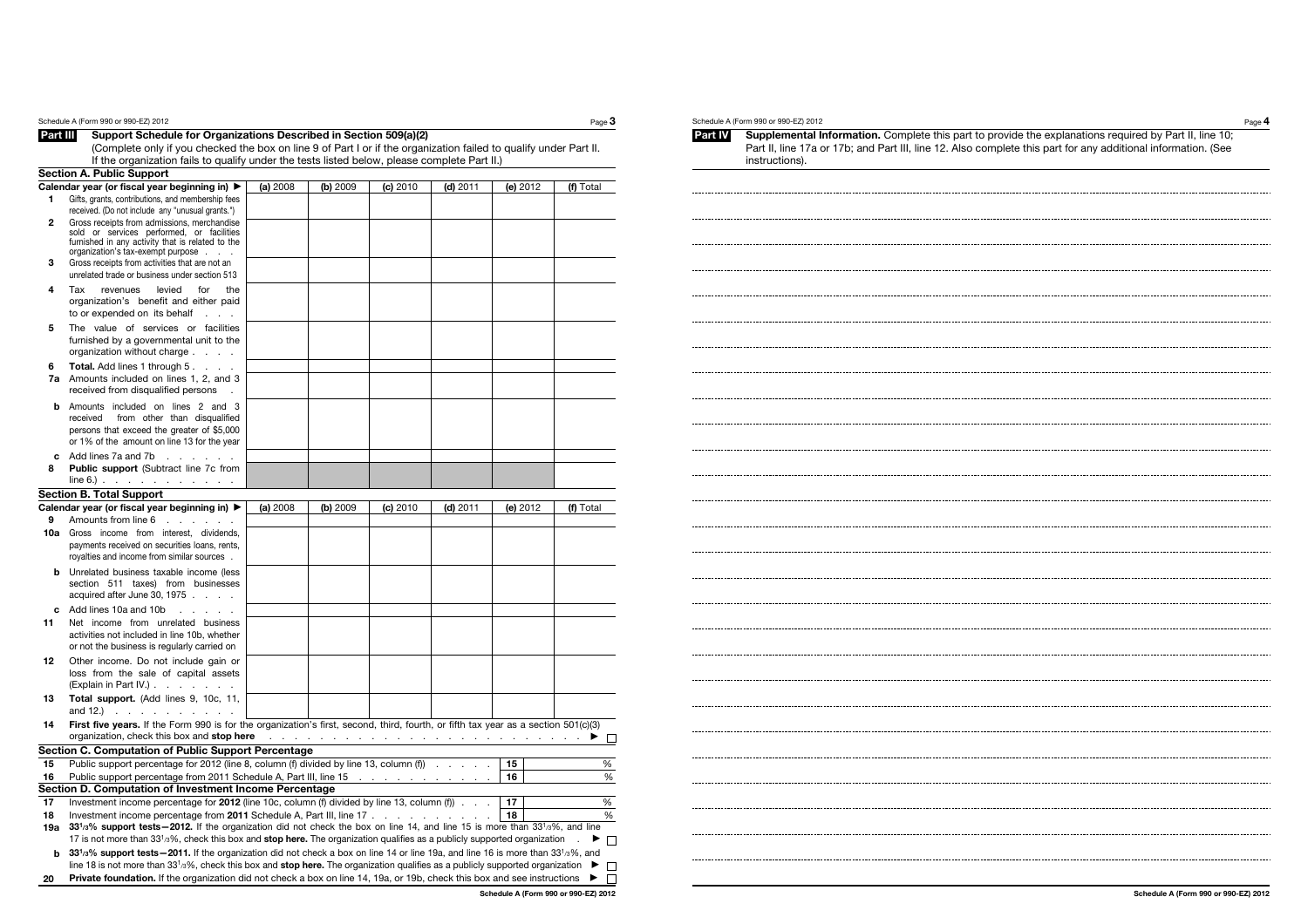|                | Schedule A (Form 990 or 990-EZ) 2012                                                                                                                                                                                                                                                                           |          |          |                                                                                                                                                                                                                               |          |          | Page $3$                             |
|----------------|----------------------------------------------------------------------------------------------------------------------------------------------------------------------------------------------------------------------------------------------------------------------------------------------------------------|----------|----------|-------------------------------------------------------------------------------------------------------------------------------------------------------------------------------------------------------------------------------|----------|----------|--------------------------------------|
| Part III       | Support Schedule for Organizations Described in Section 509(a)(2)                                                                                                                                                                                                                                              |          |          |                                                                                                                                                                                                                               |          |          |                                      |
|                | (Complete only if you checked the box on line 9 of Part I or if the organization failed to qualify under Part II.                                                                                                                                                                                              |          |          |                                                                                                                                                                                                                               |          |          |                                      |
|                | If the organization fails to qualify under the tests listed below, please complete Part II.)                                                                                                                                                                                                                   |          |          |                                                                                                                                                                                                                               |          |          |                                      |
|                | <b>Section A. Public Support</b>                                                                                                                                                                                                                                                                               |          |          |                                                                                                                                                                                                                               |          |          |                                      |
| 1              | Calendar year (or fiscal year beginning in) ▶<br>Gifts, grants, contributions, and membership fees                                                                                                                                                                                                             | (a) 2008 | (b) 2009 | (c) 2010                                                                                                                                                                                                                      | (d) 2011 | (e) 2012 | (f) Total                            |
|                | received. (Do not include any "unusual grants.")                                                                                                                                                                                                                                                               |          |          |                                                                                                                                                                                                                               |          |          |                                      |
| $\overline{2}$ | Gross receipts from admissions, merchandise                                                                                                                                                                                                                                                                    |          |          |                                                                                                                                                                                                                               |          |          |                                      |
|                | sold or services performed, or facilities<br>furnished in any activity that is related to the                                                                                                                                                                                                                  |          |          |                                                                                                                                                                                                                               |          |          |                                      |
|                | organization's tax-exempt purpose                                                                                                                                                                                                                                                                              |          |          |                                                                                                                                                                                                                               |          |          |                                      |
| 3              | Gross receipts from activities that are not an<br>unrelated trade or business under section 513                                                                                                                                                                                                                |          |          |                                                                                                                                                                                                                               |          |          |                                      |
| 4              | revenues<br>levied<br>for<br>Tax<br>the                                                                                                                                                                                                                                                                        |          |          |                                                                                                                                                                                                                               |          |          |                                      |
|                | organization's benefit and either paid<br>to or expended on its behalf<br><b>Service</b> State                                                                                                                                                                                                                 |          |          |                                                                                                                                                                                                                               |          |          |                                      |
| 5              | The value of services or facilities                                                                                                                                                                                                                                                                            |          |          |                                                                                                                                                                                                                               |          |          |                                      |
|                | furnished by a governmental unit to the<br>organization without charge                                                                                                                                                                                                                                         |          |          |                                                                                                                                                                                                                               |          |          |                                      |
| 6              | Total. Add lines 1 through 5.                                                                                                                                                                                                                                                                                  |          |          |                                                                                                                                                                                                                               |          |          |                                      |
|                | 7a Amounts included on lines 1, 2, and 3<br>received from disqualified persons                                                                                                                                                                                                                                 |          |          |                                                                                                                                                                                                                               |          |          |                                      |
| h.             | Amounts included on lines 2 and 3                                                                                                                                                                                                                                                                              |          |          |                                                                                                                                                                                                                               |          |          |                                      |
|                | received<br>from other than disqualified                                                                                                                                                                                                                                                                       |          |          |                                                                                                                                                                                                                               |          |          |                                      |
|                | persons that exceed the greater of \$5,000                                                                                                                                                                                                                                                                     |          |          |                                                                                                                                                                                                                               |          |          |                                      |
|                | or 1% of the amount on line 13 for the year                                                                                                                                                                                                                                                                    |          |          |                                                                                                                                                                                                                               |          |          |                                      |
| с              | Add lines 7a and 7b                                                                                                                                                                                                                                                                                            |          |          |                                                                                                                                                                                                                               |          |          |                                      |
| 8              | <b>Public support (Subtract line 7c from</b><br>$line 6.)$                                                                                                                                                                                                                                                     |          |          |                                                                                                                                                                                                                               |          |          |                                      |
|                | <b>Section B. Total Support</b>                                                                                                                                                                                                                                                                                |          |          |                                                                                                                                                                                                                               |          |          |                                      |
|                | Calendar year (or fiscal year beginning in) ▶                                                                                                                                                                                                                                                                  | (a) 2008 | (b) 2009 | (c) 2010                                                                                                                                                                                                                      | (d) 2011 | (e) 2012 | (f) Total                            |
| 9              | Amounts from line 6<br><b>Service</b>                                                                                                                                                                                                                                                                          |          |          |                                                                                                                                                                                                                               |          |          |                                      |
| 10a            | Gross income from interest, dividends,                                                                                                                                                                                                                                                                         |          |          |                                                                                                                                                                                                                               |          |          |                                      |
|                | payments received on securities loans, rents,                                                                                                                                                                                                                                                                  |          |          |                                                                                                                                                                                                                               |          |          |                                      |
|                | royalties and income from similar sources.                                                                                                                                                                                                                                                                     |          |          |                                                                                                                                                                                                                               |          |          |                                      |
|                | <b>b</b> Unrelated business taxable income (less                                                                                                                                                                                                                                                               |          |          |                                                                                                                                                                                                                               |          |          |                                      |
|                | section 511 taxes) from businesses<br>acquired after June 30, 1975                                                                                                                                                                                                                                             |          |          |                                                                                                                                                                                                                               |          |          |                                      |
| C.             | Add lines 10a and 10b                                                                                                                                                                                                                                                                                          |          |          |                                                                                                                                                                                                                               |          |          |                                      |
| 11             | $\mathcal{A}=\mathcal{A}=\mathcal{A}=\mathcal{A}=\mathcal{A}$<br>Net income from unrelated business                                                                                                                                                                                                            |          |          |                                                                                                                                                                                                                               |          |          |                                      |
|                | activities not included in line 10b, whether                                                                                                                                                                                                                                                                   |          |          |                                                                                                                                                                                                                               |          |          |                                      |
|                | or not the business is regularly carried on                                                                                                                                                                                                                                                                    |          |          |                                                                                                                                                                                                                               |          |          |                                      |
| 12             | Other income. Do not include gain or                                                                                                                                                                                                                                                                           |          |          |                                                                                                                                                                                                                               |          |          |                                      |
|                | loss from the sale of capital assets                                                                                                                                                                                                                                                                           |          |          |                                                                                                                                                                                                                               |          |          |                                      |
| 13             | $(Explain in Part IV.) \t \t \t$<br>Total support. (Add lines 9, 10c, 11,                                                                                                                                                                                                                                      |          |          |                                                                                                                                                                                                                               |          |          |                                      |
|                | and 12.) $\cdots$ $\cdots$ $\cdots$                                                                                                                                                                                                                                                                            |          |          |                                                                                                                                                                                                                               |          |          |                                      |
| 14             | First five years. If the Form 990 is for the organization's first, second, third, fourth, or fifth tax year as a section 501(c)(3)<br>organization, check this box and stop here                                                                                                                               |          |          | a constitution of the constitution of the constitution of the constitution of the constitution of the constitution of the constitution of the constitution of the constitution of the constitution of the constitution of the |          |          | ▶ □                                  |
|                | Section C. Computation of Public Support Percentage                                                                                                                                                                                                                                                            |          |          |                                                                                                                                                                                                                               |          |          |                                      |
| 15             | Public support percentage for 2012 (line 8, column (f) divided by line 13, column (f))                                                                                                                                                                                                                         |          |          |                                                                                                                                                                                                                               |          | 15       | %                                    |
| 16             | Public support percentage from 2011 Schedule A, Part III, line 15 \[matter contracts are controlled by Part III, line 15 \[matter controlled by Controlled by Controlled by Part controlled by Part controlled by Part control                                                                                 |          |          |                                                                                                                                                                                                                               |          | 16       | %                                    |
|                | Section D. Computation of Investment Income Percentage                                                                                                                                                                                                                                                         |          |          |                                                                                                                                                                                                                               |          |          |                                      |
| 17             | Investment income percentage for 2012 (line 10c, column (f) divided by line 13, column (f)                                                                                                                                                                                                                     |          |          |                                                                                                                                                                                                                               |          | 17       | %                                    |
| 18             | Investment income percentage from 2011 Schedule A, Part III, line 17                                                                                                                                                                                                                                           |          |          |                                                                                                                                                                                                                               |          | 18       | %                                    |
| 19a            | 33 <sup>1</sup> /3% support tests-2012. If the organization did not check the box on line 14, and line 15 is more than 33 <sup>1</sup> /3%, and line<br>17 is not more than 331/3%, check this box and stop here. The organization qualifies as a publicly supported organization                              |          |          |                                                                                                                                                                                                                               |          |          | $\Box$                               |
| b              | 33 <sup>1</sup> /3 <sup>%</sup> support tests-2011. If the organization did not check a box on line 14 or line 19a, and line 16 is more than 33 <sup>1</sup> /3%, and<br>line 18 is not more than $33^{1/3}\%$ , check this box and stop here. The organization qualifies as a publicly supported organization |          |          |                                                                                                                                                                                                                               |          |          | ▶<br>$\Box$                          |
| 20             | Private foundation. If the organization did not check a box on line 14, 19a, or 19b, check this box and see instructions                                                                                                                                                                                       |          |          |                                                                                                                                                                                                                               |          |          | ▶<br>Ŋ                               |
|                |                                                                                                                                                                                                                                                                                                                |          |          |                                                                                                                                                                                                                               |          |          | Schedule A (Form 990 or 990-EZ) 2012 |

# Schedule A (Form 990 or 990-EZ) 2012  $P_{\text{age}}$  4

**Part IV** Supplemental Information. Complete this part to provide the explanations required by Part II, line 10; Part II, line 17a or 17b; and Part III, line 12. Also complete this part for any additional information. (See instructions).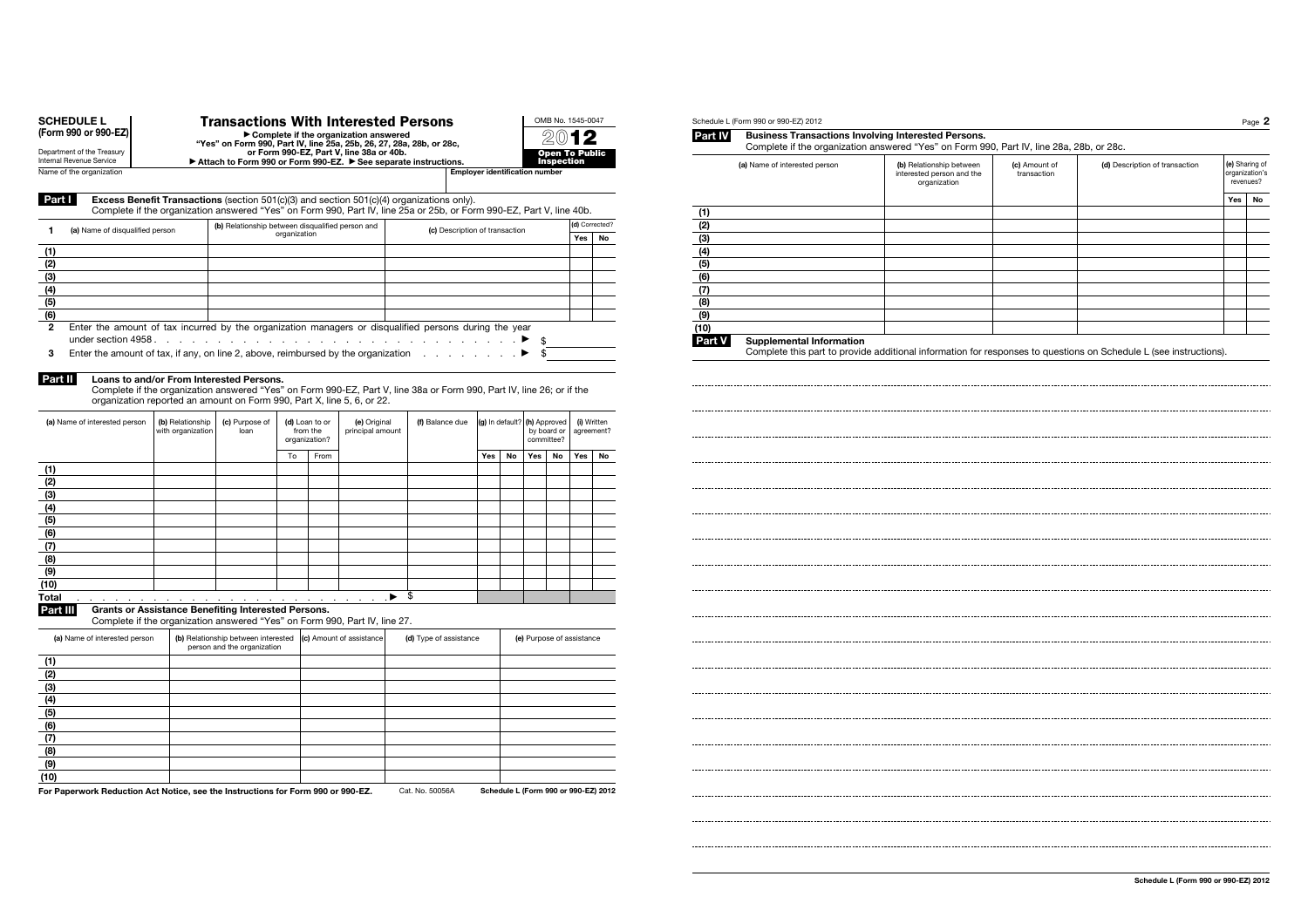| or Form 990-EZ, Part V, line 38a or 40b.<br>Public<br>Attach to Form 990 or Form 990-EZ. > See separate instructions.<br>Inspection<br>k<br><b>Employer identification number</b><br><b>Excess Benefit Transactions</b> (section $501(c)(3)$ and section $501(c)(4)$ organizations only).<br>Complete if the organization answered "Yes" on Form 990, Part IV, line 25a or 25b, or Form 990-EZ, Part V, line 40b.<br>(1)<br>(d) Corrected?<br>(2)<br>(b) Relationship between disqualified person and<br>1<br>(a) Name of disqualified person<br>(c) Description of transaction<br>organization<br>(3)<br>Yes<br>No<br>(1)<br>(4)<br>(2)<br>(5)<br>(3)<br>(6)<br>(4)<br>(7)<br>(5)<br>(8)<br>(6)<br>(9)<br>2<br>Enter the amount of tax incurred by the organization managers or disqualified persons during the year<br>(10)<br>\$<br>▸<br>Part V<br>Enter the amount of tax, if any, on line 2, above, reimbursed by the organization<br>\$<br>3<br>Part II<br>Loans to and/or From Interested Persons.<br>Complete if the organization answered "Yes" on Form 990-EZ, Part V, line 38a or Form 990, Part IV, line 26; or if the<br>organization reported an amount on Form 990, Part X, line 5, 6, or 22.<br>(a) Name of interested person<br>(b) Relationship<br>(c) Purpose of<br>(d) Loan to or<br>(e) Original<br>(f) Balance due<br>(g) In default? (h) Approved<br>(i) Written<br>with organization<br>loan<br>from the<br>principal amount<br>by board or<br>agreement?<br>organization?<br>committee?<br>To<br>Yes<br>Yes<br>Yes<br>From<br>No<br>No<br>No<br>(1)<br>(2)<br>(3)<br>(4)<br>(5)<br>(6)<br>(7)<br>(8)<br>(9)<br>(10)<br>\$<br>Total<br>▸<br>and the contract of the contract of the contract of the contract of<br>Part III<br>Grants or Assistance Benefiting Interested Persons.<br>Complete if the organization answered "Yes" on Form 990, Part IV, line 27.<br>(b) Relationship between interested<br>(c) Amount of assistance<br>(a) Name of interested person<br>(d) Type of assistance<br>(e) Purpose of assistance<br>person and the organization<br>(1)<br>(2)<br>(3)<br>(4)<br>(5)<br>(6)<br>(7)<br>(8)<br>(9)<br>(10)<br>For Paperwork Reduction Act Notice, see the Instructions for Form 990 or 990-EZ.<br>Cat. No. 50056A<br>Schedule L (Form 990 or 990-EZ) 2012 | (Form 990 or 990-EZ)                                   | ► Complete if the organization answered ► Complete if the organization answered<br>Yes" on Form 990, Part IV, line 25a, 25b, 26, 27, 28a, 28b, or 28c, |  |  |  |  |  |  |  |  | Part IV |
|----------------------------------------------------------------------------------------------------------------------------------------------------------------------------------------------------------------------------------------------------------------------------------------------------------------------------------------------------------------------------------------------------------------------------------------------------------------------------------------------------------------------------------------------------------------------------------------------------------------------------------------------------------------------------------------------------------------------------------------------------------------------------------------------------------------------------------------------------------------------------------------------------------------------------------------------------------------------------------------------------------------------------------------------------------------------------------------------------------------------------------------------------------------------------------------------------------------------------------------------------------------------------------------------------------------------------------------------------------------------------------------------------------------------------------------------------------------------------------------------------------------------------------------------------------------------------------------------------------------------------------------------------------------------------------------------------------------------------------------------------------------------------------------------------------------------------------------------------------------------------------------------------------------------------------------------------------------------------------------------------------------------------------------------------------------------------------------------------------------------------------------------------------------------------------------------------------------------------------------------------------------------------------------------------------|--------------------------------------------------------|--------------------------------------------------------------------------------------------------------------------------------------------------------|--|--|--|--|--|--|--|--|---------|
|                                                                                                                                                                                                                                                                                                                                                                                                                                                                                                                                                                                                                                                                                                                                                                                                                                                                                                                                                                                                                                                                                                                                                                                                                                                                                                                                                                                                                                                                                                                                                                                                                                                                                                                                                                                                                                                                                                                                                                                                                                                                                                                                                                                                                                                                                                          | Department of the Treasury<br>Internal Revenue Service |                                                                                                                                                        |  |  |  |  |  |  |  |  |         |
|                                                                                                                                                                                                                                                                                                                                                                                                                                                                                                                                                                                                                                                                                                                                                                                                                                                                                                                                                                                                                                                                                                                                                                                                                                                                                                                                                                                                                                                                                                                                                                                                                                                                                                                                                                                                                                                                                                                                                                                                                                                                                                                                                                                                                                                                                                          | Name of the organization                               |                                                                                                                                                        |  |  |  |  |  |  |  |  |         |
|                                                                                                                                                                                                                                                                                                                                                                                                                                                                                                                                                                                                                                                                                                                                                                                                                                                                                                                                                                                                                                                                                                                                                                                                                                                                                                                                                                                                                                                                                                                                                                                                                                                                                                                                                                                                                                                                                                                                                                                                                                                                                                                                                                                                                                                                                                          | Part I                                                 |                                                                                                                                                        |  |  |  |  |  |  |  |  |         |
|                                                                                                                                                                                                                                                                                                                                                                                                                                                                                                                                                                                                                                                                                                                                                                                                                                                                                                                                                                                                                                                                                                                                                                                                                                                                                                                                                                                                                                                                                                                                                                                                                                                                                                                                                                                                                                                                                                                                                                                                                                                                                                                                                                                                                                                                                                          |                                                        |                                                                                                                                                        |  |  |  |  |  |  |  |  |         |
|                                                                                                                                                                                                                                                                                                                                                                                                                                                                                                                                                                                                                                                                                                                                                                                                                                                                                                                                                                                                                                                                                                                                                                                                                                                                                                                                                                                                                                                                                                                                                                                                                                                                                                                                                                                                                                                                                                                                                                                                                                                                                                                                                                                                                                                                                                          |                                                        |                                                                                                                                                        |  |  |  |  |  |  |  |  |         |
|                                                                                                                                                                                                                                                                                                                                                                                                                                                                                                                                                                                                                                                                                                                                                                                                                                                                                                                                                                                                                                                                                                                                                                                                                                                                                                                                                                                                                                                                                                                                                                                                                                                                                                                                                                                                                                                                                                                                                                                                                                                                                                                                                                                                                                                                                                          |                                                        |                                                                                                                                                        |  |  |  |  |  |  |  |  |         |
|                                                                                                                                                                                                                                                                                                                                                                                                                                                                                                                                                                                                                                                                                                                                                                                                                                                                                                                                                                                                                                                                                                                                                                                                                                                                                                                                                                                                                                                                                                                                                                                                                                                                                                                                                                                                                                                                                                                                                                                                                                                                                                                                                                                                                                                                                                          |                                                        |                                                                                                                                                        |  |  |  |  |  |  |  |  |         |
|                                                                                                                                                                                                                                                                                                                                                                                                                                                                                                                                                                                                                                                                                                                                                                                                                                                                                                                                                                                                                                                                                                                                                                                                                                                                                                                                                                                                                                                                                                                                                                                                                                                                                                                                                                                                                                                                                                                                                                                                                                                                                                                                                                                                                                                                                                          |                                                        |                                                                                                                                                        |  |  |  |  |  |  |  |  |         |
|                                                                                                                                                                                                                                                                                                                                                                                                                                                                                                                                                                                                                                                                                                                                                                                                                                                                                                                                                                                                                                                                                                                                                                                                                                                                                                                                                                                                                                                                                                                                                                                                                                                                                                                                                                                                                                                                                                                                                                                                                                                                                                                                                                                                                                                                                                          |                                                        |                                                                                                                                                        |  |  |  |  |  |  |  |  |         |
|                                                                                                                                                                                                                                                                                                                                                                                                                                                                                                                                                                                                                                                                                                                                                                                                                                                                                                                                                                                                                                                                                                                                                                                                                                                                                                                                                                                                                                                                                                                                                                                                                                                                                                                                                                                                                                                                                                                                                                                                                                                                                                                                                                                                                                                                                                          |                                                        |                                                                                                                                                        |  |  |  |  |  |  |  |  |         |
|                                                                                                                                                                                                                                                                                                                                                                                                                                                                                                                                                                                                                                                                                                                                                                                                                                                                                                                                                                                                                                                                                                                                                                                                                                                                                                                                                                                                                                                                                                                                                                                                                                                                                                                                                                                                                                                                                                                                                                                                                                                                                                                                                                                                                                                                                                          |                                                        |                                                                                                                                                        |  |  |  |  |  |  |  |  |         |
|                                                                                                                                                                                                                                                                                                                                                                                                                                                                                                                                                                                                                                                                                                                                                                                                                                                                                                                                                                                                                                                                                                                                                                                                                                                                                                                                                                                                                                                                                                                                                                                                                                                                                                                                                                                                                                                                                                                                                                                                                                                                                                                                                                                                                                                                                                          |                                                        |                                                                                                                                                        |  |  |  |  |  |  |  |  |         |
|                                                                                                                                                                                                                                                                                                                                                                                                                                                                                                                                                                                                                                                                                                                                                                                                                                                                                                                                                                                                                                                                                                                                                                                                                                                                                                                                                                                                                                                                                                                                                                                                                                                                                                                                                                                                                                                                                                                                                                                                                                                                                                                                                                                                                                                                                                          |                                                        |                                                                                                                                                        |  |  |  |  |  |  |  |  |         |
|                                                                                                                                                                                                                                                                                                                                                                                                                                                                                                                                                                                                                                                                                                                                                                                                                                                                                                                                                                                                                                                                                                                                                                                                                                                                                                                                                                                                                                                                                                                                                                                                                                                                                                                                                                                                                                                                                                                                                                                                                                                                                                                                                                                                                                                                                                          |                                                        |                                                                                                                                                        |  |  |  |  |  |  |  |  |         |
|                                                                                                                                                                                                                                                                                                                                                                                                                                                                                                                                                                                                                                                                                                                                                                                                                                                                                                                                                                                                                                                                                                                                                                                                                                                                                                                                                                                                                                                                                                                                                                                                                                                                                                                                                                                                                                                                                                                                                                                                                                                                                                                                                                                                                                                                                                          |                                                        |                                                                                                                                                        |  |  |  |  |  |  |  |  |         |
|                                                                                                                                                                                                                                                                                                                                                                                                                                                                                                                                                                                                                                                                                                                                                                                                                                                                                                                                                                                                                                                                                                                                                                                                                                                                                                                                                                                                                                                                                                                                                                                                                                                                                                                                                                                                                                                                                                                                                                                                                                                                                                                                                                                                                                                                                                          |                                                        |                                                                                                                                                        |  |  |  |  |  |  |  |  |         |
|                                                                                                                                                                                                                                                                                                                                                                                                                                                                                                                                                                                                                                                                                                                                                                                                                                                                                                                                                                                                                                                                                                                                                                                                                                                                                                                                                                                                                                                                                                                                                                                                                                                                                                                                                                                                                                                                                                                                                                                                                                                                                                                                                                                                                                                                                                          |                                                        |                                                                                                                                                        |  |  |  |  |  |  |  |  |         |
|                                                                                                                                                                                                                                                                                                                                                                                                                                                                                                                                                                                                                                                                                                                                                                                                                                                                                                                                                                                                                                                                                                                                                                                                                                                                                                                                                                                                                                                                                                                                                                                                                                                                                                                                                                                                                                                                                                                                                                                                                                                                                                                                                                                                                                                                                                          |                                                        |                                                                                                                                                        |  |  |  |  |  |  |  |  |         |
|                                                                                                                                                                                                                                                                                                                                                                                                                                                                                                                                                                                                                                                                                                                                                                                                                                                                                                                                                                                                                                                                                                                                                                                                                                                                                                                                                                                                                                                                                                                                                                                                                                                                                                                                                                                                                                                                                                                                                                                                                                                                                                                                                                                                                                                                                                          |                                                        |                                                                                                                                                        |  |  |  |  |  |  |  |  |         |
|                                                                                                                                                                                                                                                                                                                                                                                                                                                                                                                                                                                                                                                                                                                                                                                                                                                                                                                                                                                                                                                                                                                                                                                                                                                                                                                                                                                                                                                                                                                                                                                                                                                                                                                                                                                                                                                                                                                                                                                                                                                                                                                                                                                                                                                                                                          |                                                        |                                                                                                                                                        |  |  |  |  |  |  |  |  |         |
|                                                                                                                                                                                                                                                                                                                                                                                                                                                                                                                                                                                                                                                                                                                                                                                                                                                                                                                                                                                                                                                                                                                                                                                                                                                                                                                                                                                                                                                                                                                                                                                                                                                                                                                                                                                                                                                                                                                                                                                                                                                                                                                                                                                                                                                                                                          |                                                        |                                                                                                                                                        |  |  |  |  |  |  |  |  |         |
|                                                                                                                                                                                                                                                                                                                                                                                                                                                                                                                                                                                                                                                                                                                                                                                                                                                                                                                                                                                                                                                                                                                                                                                                                                                                                                                                                                                                                                                                                                                                                                                                                                                                                                                                                                                                                                                                                                                                                                                                                                                                                                                                                                                                                                                                                                          |                                                        |                                                                                                                                                        |  |  |  |  |  |  |  |  |         |
|                                                                                                                                                                                                                                                                                                                                                                                                                                                                                                                                                                                                                                                                                                                                                                                                                                                                                                                                                                                                                                                                                                                                                                                                                                                                                                                                                                                                                                                                                                                                                                                                                                                                                                                                                                                                                                                                                                                                                                                                                                                                                                                                                                                                                                                                                                          |                                                        |                                                                                                                                                        |  |  |  |  |  |  |  |  |         |
|                                                                                                                                                                                                                                                                                                                                                                                                                                                                                                                                                                                                                                                                                                                                                                                                                                                                                                                                                                                                                                                                                                                                                                                                                                                                                                                                                                                                                                                                                                                                                                                                                                                                                                                                                                                                                                                                                                                                                                                                                                                                                                                                                                                                                                                                                                          |                                                        |                                                                                                                                                        |  |  |  |  |  |  |  |  |         |
|                                                                                                                                                                                                                                                                                                                                                                                                                                                                                                                                                                                                                                                                                                                                                                                                                                                                                                                                                                                                                                                                                                                                                                                                                                                                                                                                                                                                                                                                                                                                                                                                                                                                                                                                                                                                                                                                                                                                                                                                                                                                                                                                                                                                                                                                                                          |                                                        |                                                                                                                                                        |  |  |  |  |  |  |  |  |         |
|                                                                                                                                                                                                                                                                                                                                                                                                                                                                                                                                                                                                                                                                                                                                                                                                                                                                                                                                                                                                                                                                                                                                                                                                                                                                                                                                                                                                                                                                                                                                                                                                                                                                                                                                                                                                                                                                                                                                                                                                                                                                                                                                                                                                                                                                                                          |                                                        |                                                                                                                                                        |  |  |  |  |  |  |  |  |         |
|                                                                                                                                                                                                                                                                                                                                                                                                                                                                                                                                                                                                                                                                                                                                                                                                                                                                                                                                                                                                                                                                                                                                                                                                                                                                                                                                                                                                                                                                                                                                                                                                                                                                                                                                                                                                                                                                                                                                                                                                                                                                                                                                                                                                                                                                                                          |                                                        |                                                                                                                                                        |  |  |  |  |  |  |  |  |         |
|                                                                                                                                                                                                                                                                                                                                                                                                                                                                                                                                                                                                                                                                                                                                                                                                                                                                                                                                                                                                                                                                                                                                                                                                                                                                                                                                                                                                                                                                                                                                                                                                                                                                                                                                                                                                                                                                                                                                                                                                                                                                                                                                                                                                                                                                                                          |                                                        |                                                                                                                                                        |  |  |  |  |  |  |  |  |         |
|                                                                                                                                                                                                                                                                                                                                                                                                                                                                                                                                                                                                                                                                                                                                                                                                                                                                                                                                                                                                                                                                                                                                                                                                                                                                                                                                                                                                                                                                                                                                                                                                                                                                                                                                                                                                                                                                                                                                                                                                                                                                                                                                                                                                                                                                                                          |                                                        |                                                                                                                                                        |  |  |  |  |  |  |  |  |         |
|                                                                                                                                                                                                                                                                                                                                                                                                                                                                                                                                                                                                                                                                                                                                                                                                                                                                                                                                                                                                                                                                                                                                                                                                                                                                                                                                                                                                                                                                                                                                                                                                                                                                                                                                                                                                                                                                                                                                                                                                                                                                                                                                                                                                                                                                                                          |                                                        |                                                                                                                                                        |  |  |  |  |  |  |  |  |         |
|                                                                                                                                                                                                                                                                                                                                                                                                                                                                                                                                                                                                                                                                                                                                                                                                                                                                                                                                                                                                                                                                                                                                                                                                                                                                                                                                                                                                                                                                                                                                                                                                                                                                                                                                                                                                                                                                                                                                                                                                                                                                                                                                                                                                                                                                                                          |                                                        |                                                                                                                                                        |  |  |  |  |  |  |  |  |         |
|                                                                                                                                                                                                                                                                                                                                                                                                                                                                                                                                                                                                                                                                                                                                                                                                                                                                                                                                                                                                                                                                                                                                                                                                                                                                                                                                                                                                                                                                                                                                                                                                                                                                                                                                                                                                                                                                                                                                                                                                                                                                                                                                                                                                                                                                                                          |                                                        |                                                                                                                                                        |  |  |  |  |  |  |  |  |         |
|                                                                                                                                                                                                                                                                                                                                                                                                                                                                                                                                                                                                                                                                                                                                                                                                                                                                                                                                                                                                                                                                                                                                                                                                                                                                                                                                                                                                                                                                                                                                                                                                                                                                                                                                                                                                                                                                                                                                                                                                                                                                                                                                                                                                                                                                                                          |                                                        |                                                                                                                                                        |  |  |  |  |  |  |  |  |         |
|                                                                                                                                                                                                                                                                                                                                                                                                                                                                                                                                                                                                                                                                                                                                                                                                                                                                                                                                                                                                                                                                                                                                                                                                                                                                                                                                                                                                                                                                                                                                                                                                                                                                                                                                                                                                                                                                                                                                                                                                                                                                                                                                                                                                                                                                                                          |                                                        |                                                                                                                                                        |  |  |  |  |  |  |  |  |         |
|                                                                                                                                                                                                                                                                                                                                                                                                                                                                                                                                                                                                                                                                                                                                                                                                                                                                                                                                                                                                                                                                                                                                                                                                                                                                                                                                                                                                                                                                                                                                                                                                                                                                                                                                                                                                                                                                                                                                                                                                                                                                                                                                                                                                                                                                                                          |                                                        |                                                                                                                                                        |  |  |  |  |  |  |  |  |         |
|                                                                                                                                                                                                                                                                                                                                                                                                                                                                                                                                                                                                                                                                                                                                                                                                                                                                                                                                                                                                                                                                                                                                                                                                                                                                                                                                                                                                                                                                                                                                                                                                                                                                                                                                                                                                                                                                                                                                                                                                                                                                                                                                                                                                                                                                                                          |                                                        |                                                                                                                                                        |  |  |  |  |  |  |  |  |         |
|                                                                                                                                                                                                                                                                                                                                                                                                                                                                                                                                                                                                                                                                                                                                                                                                                                                                                                                                                                                                                                                                                                                                                                                                                                                                                                                                                                                                                                                                                                                                                                                                                                                                                                                                                                                                                                                                                                                                                                                                                                                                                                                                                                                                                                                                                                          |                                                        |                                                                                                                                                        |  |  |  |  |  |  |  |  |         |
|                                                                                                                                                                                                                                                                                                                                                                                                                                                                                                                                                                                                                                                                                                                                                                                                                                                                                                                                                                                                                                                                                                                                                                                                                                                                                                                                                                                                                                                                                                                                                                                                                                                                                                                                                                                                                                                                                                                                                                                                                                                                                                                                                                                                                                                                                                          |                                                        |                                                                                                                                                        |  |  |  |  |  |  |  |  |         |
|                                                                                                                                                                                                                                                                                                                                                                                                                                                                                                                                                                                                                                                                                                                                                                                                                                                                                                                                                                                                                                                                                                                                                                                                                                                                                                                                                                                                                                                                                                                                                                                                                                                                                                                                                                                                                                                                                                                                                                                                                                                                                                                                                                                                                                                                                                          |                                                        |                                                                                                                                                        |  |  |  |  |  |  |  |  |         |
|                                                                                                                                                                                                                                                                                                                                                                                                                                                                                                                                                                                                                                                                                                                                                                                                                                                                                                                                                                                                                                                                                                                                                                                                                                                                                                                                                                                                                                                                                                                                                                                                                                                                                                                                                                                                                                                                                                                                                                                                                                                                                                                                                                                                                                                                                                          |                                                        |                                                                                                                                                        |  |  |  |  |  |  |  |  |         |
|                                                                                                                                                                                                                                                                                                                                                                                                                                                                                                                                                                                                                                                                                                                                                                                                                                                                                                                                                                                                                                                                                                                                                                                                                                                                                                                                                                                                                                                                                                                                                                                                                                                                                                                                                                                                                                                                                                                                                                                                                                                                                                                                                                                                                                                                                                          |                                                        |                                                                                                                                                        |  |  |  |  |  |  |  |  |         |
|                                                                                                                                                                                                                                                                                                                                                                                                                                                                                                                                                                                                                                                                                                                                                                                                                                                                                                                                                                                                                                                                                                                                                                                                                                                                                                                                                                                                                                                                                                                                                                                                                                                                                                                                                                                                                                                                                                                                                                                                                                                                                                                                                                                                                                                                                                          |                                                        |                                                                                                                                                        |  |  |  |  |  |  |  |  |         |
|                                                                                                                                                                                                                                                                                                                                                                                                                                                                                                                                                                                                                                                                                                                                                                                                                                                                                                                                                                                                                                                                                                                                                                                                                                                                                                                                                                                                                                                                                                                                                                                                                                                                                                                                                                                                                                                                                                                                                                                                                                                                                                                                                                                                                                                                                                          |                                                        |                                                                                                                                                        |  |  |  |  |  |  |  |  |         |
|                                                                                                                                                                                                                                                                                                                                                                                                                                                                                                                                                                                                                                                                                                                                                                                                                                                                                                                                                                                                                                                                                                                                                                                                                                                                                                                                                                                                                                                                                                                                                                                                                                                                                                                                                                                                                                                                                                                                                                                                                                                                                                                                                                                                                                                                                                          |                                                        |                                                                                                                                                        |  |  |  |  |  |  |  |  |         |
|                                                                                                                                                                                                                                                                                                                                                                                                                                                                                                                                                                                                                                                                                                                                                                                                                                                                                                                                                                                                                                                                                                                                                                                                                                                                                                                                                                                                                                                                                                                                                                                                                                                                                                                                                                                                                                                                                                                                                                                                                                                                                                                                                                                                                                                                                                          |                                                        |                                                                                                                                                        |  |  |  |  |  |  |  |  |         |
|                                                                                                                                                                                                                                                                                                                                                                                                                                                                                                                                                                                                                                                                                                                                                                                                                                                                                                                                                                                                                                                                                                                                                                                                                                                                                                                                                                                                                                                                                                                                                                                                                                                                                                                                                                                                                                                                                                                                                                                                                                                                                                                                                                                                                                                                                                          |                                                        |                                                                                                                                                        |  |  |  |  |  |  |  |  |         |
|                                                                                                                                                                                                                                                                                                                                                                                                                                                                                                                                                                                                                                                                                                                                                                                                                                                                                                                                                                                                                                                                                                                                                                                                                                                                                                                                                                                                                                                                                                                                                                                                                                                                                                                                                                                                                                                                                                                                                                                                                                                                                                                                                                                                                                                                                                          |                                                        |                                                                                                                                                        |  |  |  |  |  |  |  |  |         |
|                                                                                                                                                                                                                                                                                                                                                                                                                                                                                                                                                                                                                                                                                                                                                                                                                                                                                                                                                                                                                                                                                                                                                                                                                                                                                                                                                                                                                                                                                                                                                                                                                                                                                                                                                                                                                                                                                                                                                                                                                                                                                                                                                                                                                                                                                                          |                                                        |                                                                                                                                                        |  |  |  |  |  |  |  |  |         |
|                                                                                                                                                                                                                                                                                                                                                                                                                                                                                                                                                                                                                                                                                                                                                                                                                                                                                                                                                                                                                                                                                                                                                                                                                                                                                                                                                                                                                                                                                                                                                                                                                                                                                                                                                                                                                                                                                                                                                                                                                                                                                                                                                                                                                                                                                                          |                                                        |                                                                                                                                                        |  |  |  |  |  |  |  |  |         |
|                                                                                                                                                                                                                                                                                                                                                                                                                                                                                                                                                                                                                                                                                                                                                                                                                                                                                                                                                                                                                                                                                                                                                                                                                                                                                                                                                                                                                                                                                                                                                                                                                                                                                                                                                                                                                                                                                                                                                                                                                                                                                                                                                                                                                                                                                                          |                                                        |                                                                                                                                                        |  |  |  |  |  |  |  |  |         |
|                                                                                                                                                                                                                                                                                                                                                                                                                                                                                                                                                                                                                                                                                                                                                                                                                                                                                                                                                                                                                                                                                                                                                                                                                                                                                                                                                                                                                                                                                                                                                                                                                                                                                                                                                                                                                                                                                                                                                                                                                                                                                                                                                                                                                                                                                                          |                                                        |                                                                                                                                                        |  |  |  |  |  |  |  |  |         |

Transactions With Interested Persons

OMB No. 1545-0047 2012

SCHEDULE L (Form 990 or 990-EZ)

| Part IV<br><b>Business Transactions Involving Interested Persons.</b> | Complete if the organization answered "Yes" on Form 990, Part IV, line 28a, 28b, or 28c. |                              |                                |                                  |           |
|-----------------------------------------------------------------------|------------------------------------------------------------------------------------------|------------------------------|--------------------------------|----------------------------------|-----------|
| (a) Name of interested person                                         | (b) Relationship between<br>interested person and the<br>organization                    | (c) Amount of<br>transaction | (d) Description of transaction | (e) Sharing of<br>organization's | revenues? |
|                                                                       |                                                                                          |                              |                                | Yes                              | No        |
| (1)                                                                   |                                                                                          |                              |                                |                                  |           |
| (2)                                                                   |                                                                                          |                              |                                |                                  |           |
| (3)                                                                   |                                                                                          |                              |                                |                                  |           |
| (4)                                                                   |                                                                                          |                              |                                |                                  |           |
| (5)                                                                   |                                                                                          |                              |                                |                                  |           |
| (6)                                                                   |                                                                                          |                              |                                |                                  |           |
| (7)                                                                   |                                                                                          |                              |                                |                                  |           |
| (8)                                                                   |                                                                                          |                              |                                |                                  |           |
| (9)                                                                   |                                                                                          |                              |                                |                                  |           |
| (10)                                                                  |                                                                                          |                              |                                |                                  |           |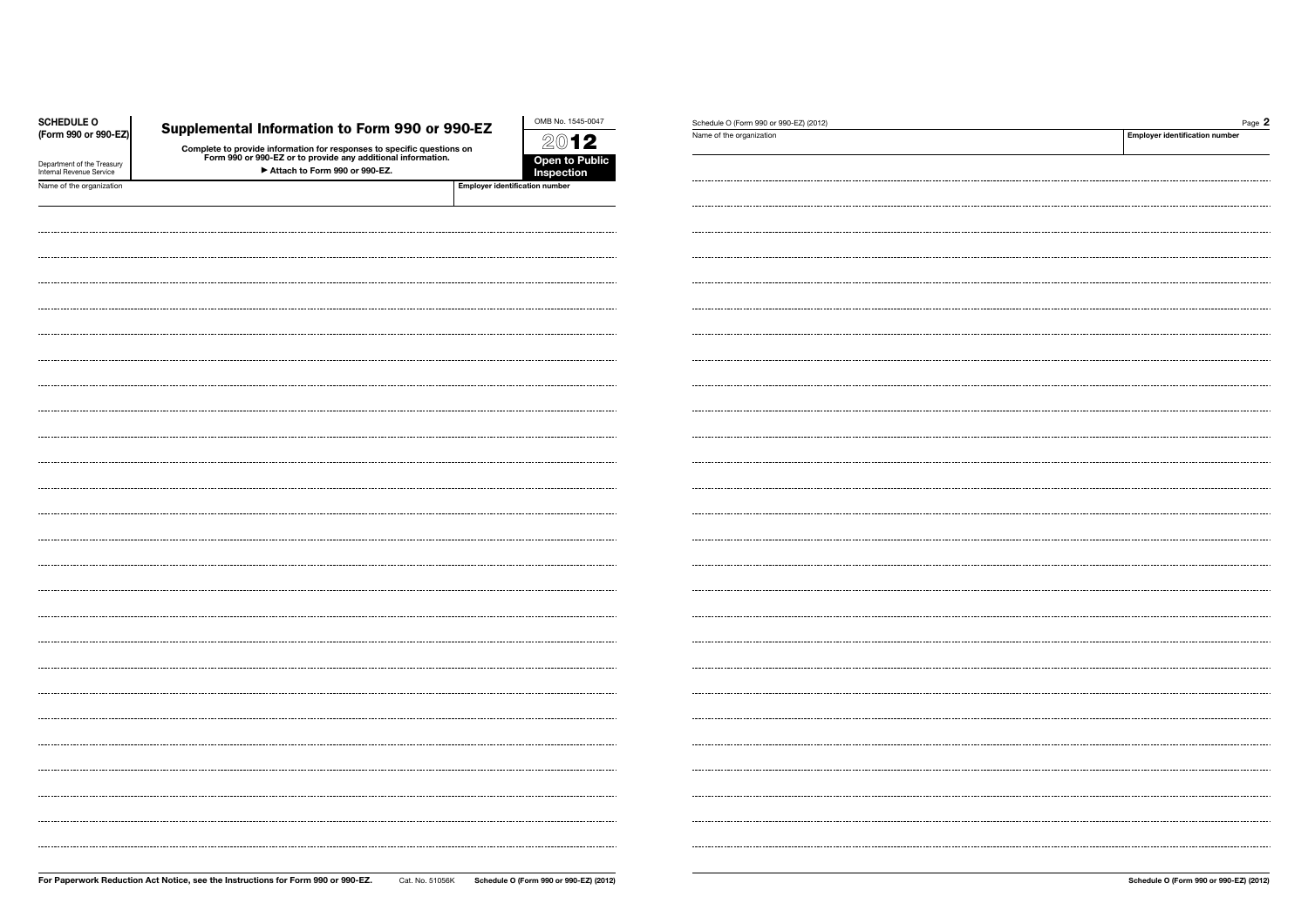| <b>Employer identification number</b><br>Name of the organization<br>2012<br>Complete to provide information for responses to specific questions on<br>Form 990 or 990-EZ or to provide any additional information.<br><b>Open to Public</b><br>Department of the Treasury<br>Attach to Form 990 or 990-EZ.<br>Inspection<br>Employer identification number | <b>SCHEDULE O</b>        |                                                | OMB No. 1545-0047 | Schedule O (Form 990 or 990-EZ) (2012) | Page 2 |
|-------------------------------------------------------------------------------------------------------------------------------------------------------------------------------------------------------------------------------------------------------------------------------------------------------------------------------------------------------------|--------------------------|------------------------------------------------|-------------------|----------------------------------------|--------|
|                                                                                                                                                                                                                                                                                                                                                             | (Form 990 or 990-EZ)     | Supplemental Information to Form 990 or 990-EZ |                   |                                        |        |
|                                                                                                                                                                                                                                                                                                                                                             |                          |                                                |                   |                                        |        |
|                                                                                                                                                                                                                                                                                                                                                             | Internal Revenue Service |                                                |                   |                                        |        |
|                                                                                                                                                                                                                                                                                                                                                             | Name of the organization |                                                |                   |                                        |        |
|                                                                                                                                                                                                                                                                                                                                                             |                          |                                                |                   |                                        |        |
|                                                                                                                                                                                                                                                                                                                                                             |                          |                                                |                   |                                        |        |
|                                                                                                                                                                                                                                                                                                                                                             |                          |                                                |                   |                                        |        |
|                                                                                                                                                                                                                                                                                                                                                             |                          |                                                |                   |                                        |        |
|                                                                                                                                                                                                                                                                                                                                                             |                          |                                                |                   |                                        |        |
|                                                                                                                                                                                                                                                                                                                                                             |                          |                                                |                   |                                        |        |
|                                                                                                                                                                                                                                                                                                                                                             |                          |                                                |                   |                                        |        |
|                                                                                                                                                                                                                                                                                                                                                             |                          |                                                |                   |                                        |        |
|                                                                                                                                                                                                                                                                                                                                                             |                          |                                                |                   |                                        |        |
|                                                                                                                                                                                                                                                                                                                                                             |                          |                                                |                   |                                        |        |
|                                                                                                                                                                                                                                                                                                                                                             |                          |                                                |                   |                                        |        |
|                                                                                                                                                                                                                                                                                                                                                             |                          |                                                |                   |                                        |        |
|                                                                                                                                                                                                                                                                                                                                                             |                          |                                                |                   |                                        |        |
|                                                                                                                                                                                                                                                                                                                                                             |                          |                                                |                   |                                        |        |
|                                                                                                                                                                                                                                                                                                                                                             |                          |                                                |                   |                                        |        |
|                                                                                                                                                                                                                                                                                                                                                             |                          |                                                |                   |                                        |        |
|                                                                                                                                                                                                                                                                                                                                                             |                          |                                                |                   |                                        |        |
|                                                                                                                                                                                                                                                                                                                                                             |                          |                                                |                   |                                        |        |
|                                                                                                                                                                                                                                                                                                                                                             |                          |                                                |                   |                                        |        |
|                                                                                                                                                                                                                                                                                                                                                             |                          |                                                |                   |                                        |        |
|                                                                                                                                                                                                                                                                                                                                                             |                          |                                                |                   |                                        |        |
|                                                                                                                                                                                                                                                                                                                                                             |                          |                                                |                   |                                        |        |
|                                                                                                                                                                                                                                                                                                                                                             |                          |                                                |                   |                                        |        |
|                                                                                                                                                                                                                                                                                                                                                             |                          |                                                |                   |                                        |        |
|                                                                                                                                                                                                                                                                                                                                                             |                          |                                                |                   |                                        |        |
|                                                                                                                                                                                                                                                                                                                                                             |                          |                                                |                   |                                        |        |
|                                                                                                                                                                                                                                                                                                                                                             |                          |                                                |                   |                                        |        |
|                                                                                                                                                                                                                                                                                                                                                             |                          |                                                |                   |                                        |        |
|                                                                                                                                                                                                                                                                                                                                                             |                          |                                                |                   |                                        |        |
|                                                                                                                                                                                                                                                                                                                                                             |                          |                                                |                   |                                        |        |
|                                                                                                                                                                                                                                                                                                                                                             |                          |                                                |                   |                                        |        |
|                                                                                                                                                                                                                                                                                                                                                             |                          |                                                |                   |                                        |        |
|                                                                                                                                                                                                                                                                                                                                                             |                          |                                                |                   |                                        |        |
|                                                                                                                                                                                                                                                                                                                                                             |                          |                                                |                   |                                        |        |
|                                                                                                                                                                                                                                                                                                                                                             |                          |                                                |                   |                                        |        |
|                                                                                                                                                                                                                                                                                                                                                             |                          |                                                |                   |                                        |        |
|                                                                                                                                                                                                                                                                                                                                                             |                          |                                                |                   |                                        |        |
|                                                                                                                                                                                                                                                                                                                                                             |                          |                                                |                   |                                        |        |
|                                                                                                                                                                                                                                                                                                                                                             |                          |                                                |                   |                                        |        |